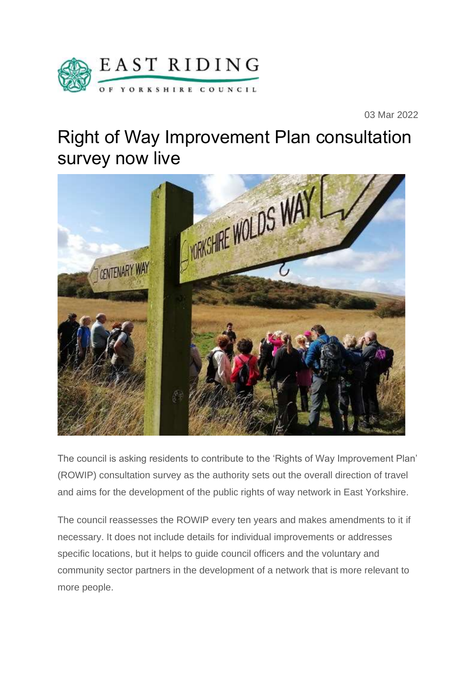

03 Mar 2022

## Right of Way Improvement Plan consultation survey now live



The council is asking residents to contribute to the 'Rights of Way Improvement Plan' (ROWIP) consultation survey as the authority sets out the overall direction of travel and aims for the development of the public rights of way network in East Yorkshire.

The council reassesses the ROWIP every ten years and makes amendments to it if necessary. It does not include details for individual improvements or addresses specific locations, but it helps to guide council officers and the voluntary and community sector partners in the development of a network that is more relevant to more people.